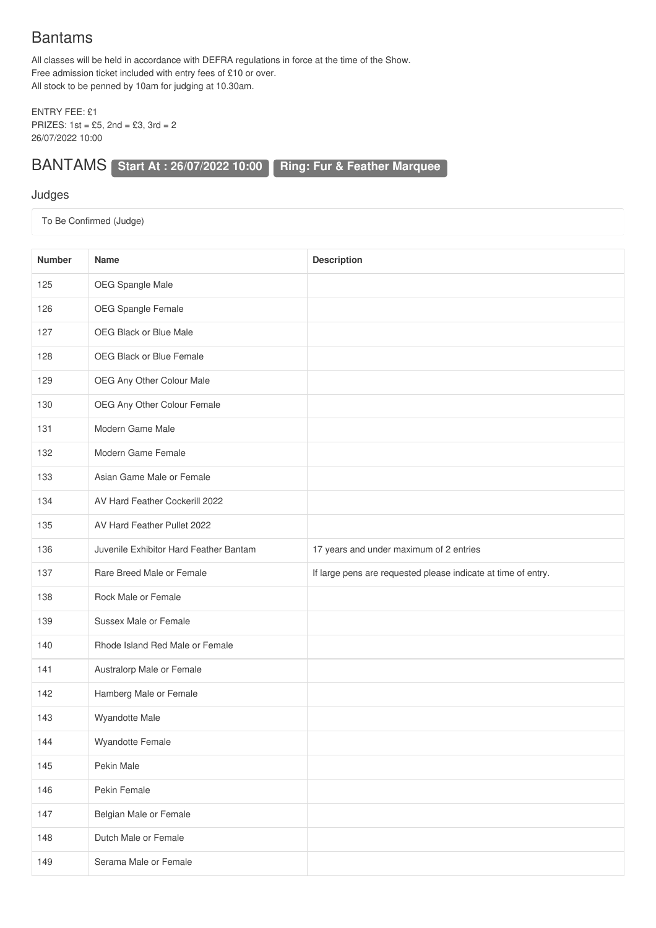## Bantams

All classes will be held in accordance with DEFRA regulations in force at the time of the Show. Free admission ticket included with entry fees of £10 or over. All stock to be penned by 10am for judging at 10.30am.

ENTRY FEE: £1 PRIZES: 1st = £5, 2nd = £3, 3rd = 2 26/07/2022 10:00

BANTAMS **Start At : 26/07/2022 10:00 Ring: Fur & Feather Marquee**

## Judges

To Be Confirmed (Judge)

| <b>Number</b> | <b>Name</b>                            | <b>Description</b>                                            |
|---------------|----------------------------------------|---------------------------------------------------------------|
| 125           | OEG Spangle Male                       |                                                               |
| 126           | OEG Spangle Female                     |                                                               |
| 127           | OEG Black or Blue Male                 |                                                               |
| 128           | OEG Black or Blue Female               |                                                               |
| 129           | OEG Any Other Colour Male              |                                                               |
| 130           | OEG Any Other Colour Female            |                                                               |
| 131           | Modern Game Male                       |                                                               |
| 132           | Modern Game Female                     |                                                               |
| 133           | Asian Game Male or Female              |                                                               |
| 134           | AV Hard Feather Cockerill 2022         |                                                               |
| 135           | AV Hard Feather Pullet 2022            |                                                               |
| 136           | Juvenile Exhibitor Hard Feather Bantam | 17 years and under maximum of 2 entries                       |
| 137           | Rare Breed Male or Female              | If large pens are requested please indicate at time of entry. |
| 138           | Rock Male or Female                    |                                                               |
| 139           | Sussex Male or Female                  |                                                               |
| 140           | Rhode Island Red Male or Female        |                                                               |
| 141           | Australorp Male or Female              |                                                               |
| 142           | Hamberg Male or Female                 |                                                               |
| 143           | Wyandotte Male                         |                                                               |
| 144           | Wyandotte Female                       |                                                               |
| 145           | Pekin Male                             |                                                               |
| 146           | Pekin Female                           |                                                               |
| 147           | Belgian Male or Female                 |                                                               |
| 148           | Dutch Male or Female                   |                                                               |
| 149           | Serama Male or Female                  |                                                               |